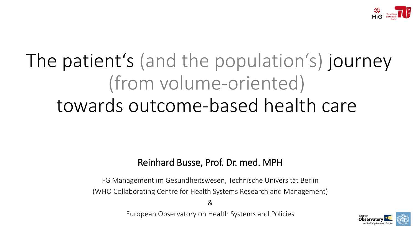

## The patient's (and the population's) journey (from volume-oriented) towards outcome-based health care

## Reinhard Busse, Prof. Dr. med. MPH

FG Management im Gesundheitswesen, Technische Universität Berlin (WHO Collaborating Centre for Health Systems Research and Management)

&

European Observatory on Health Systems and Policies

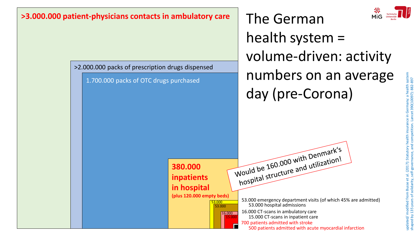

>2.000.000 packs of prescription drugs dispensed

1.700.000 packs of OTC drugs purchased

The German health system = volume-driven: activity numbers on an average day (pre-Corona)

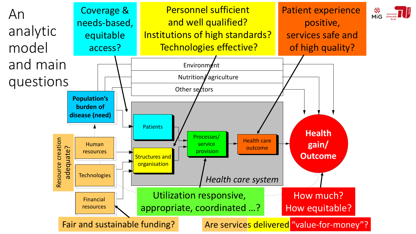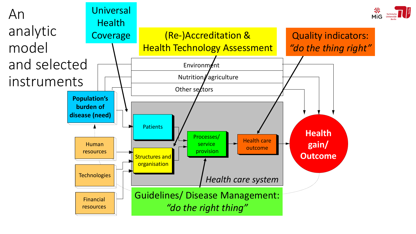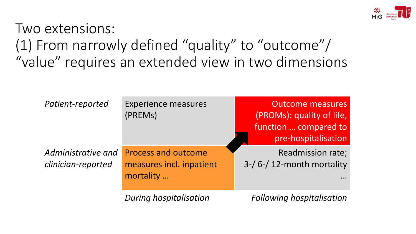

Two extensions: (1) From narrowly defined "quality" to "outcome"/ "value" requires an extended view in two dimensions

| Patient-reported                         | <b>Experience measures</b><br>(PREMs)                               | <b>Outcome measures</b><br>(PROMs): quality of life,<br>function  compared to<br>pre-hospitalisation |
|------------------------------------------|---------------------------------------------------------------------|------------------------------------------------------------------------------------------------------|
| Administrative and<br>clinician-reported | <b>Process and outcome</b><br>measures incl. inpatient<br>mortality | <b>Readmission rate;</b><br>$3-$ / 6-/ 12-month mortality                                            |
|                                          | <b>During hospitalisation</b>                                       | <b>Following hospitalisation</b>                                                                     |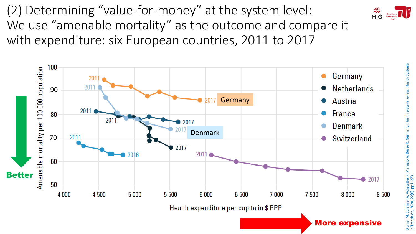(2) Determining "value-for-money" at the system level: We use "amenable mortality" as the outcome and compare it with expenditure: six European countries, 2011 to 2017





More expensive

Blümel M, Spranger A, Achstetter K, Maresso A, Busse R. Germany: Health system review. Health Systems in Transition, 2020; 22(6): pp.i –273.